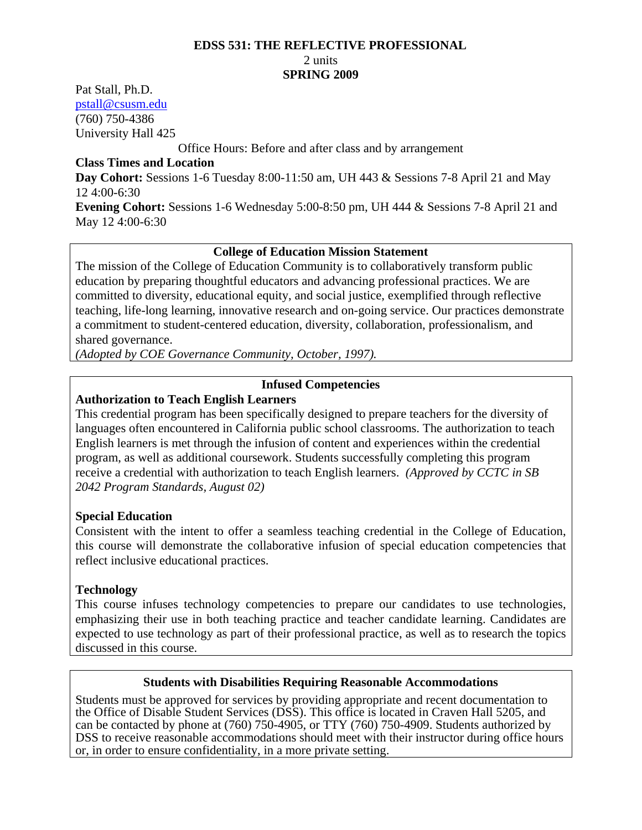#### **EDSS 531: THE REFLECTIVE PROFESSIONAL**

#### 2 units

#### **SPRING 2009**

Pat Stall, Ph.D. pstall@csusm.edu (760) 750-4386

University Hall 425

Office Hours: Before and after class and by arrangement

#### **Class Times and Location**

**Day Cohort:** Sessions 1-6 Tuesday 8:00-11:50 am, UH 443 & Sessions 7-8 April 21 and May 12 4:00-6:30

**Evening Cohort:** Sessions 1-6 Wednesday 5:00-8:50 pm, UH 444 & Sessions 7-8 April 21 and May 12 4:00-6:30

#### **College of Education Mission Statement**

The mission of the College of Education Community is to collaboratively transform public education by preparing thoughtful educators and advancing professional practices. We are committed to diversity, educational equity, and social justice, exemplified through reflective teaching, life-long learning, innovative research and on-going service. Our practices demonstrate a commitment to student-centered education, diversity, collaboration, professionalism, and shared governance.

*(Adopted by COE Governance Community, October, 1997).* 

#### **Infused Competencies**

### **Authorization to Teach English Learners**

 *2042 Program Standards, August 02)* This credential program has been specifically designed to prepare teachers for the diversity of languages often encountered in California public school classrooms. The authorization to teach English learners is met through the infusion of content and experiences within the credential program, as well as additional coursework. Students successfully completing this program receive a credential with authorization to teach English learners. *(Approved by CCTC in SB* 

#### **Special Education**

Consistent with the intent to offer a seamless teaching credential in the College of Education, this course will demonstrate the collaborative infusion of special education competencies that reflect inclusive educational practices.

#### **Technology**

This course infuses technology competencies to prepare our candidates to use technologies, emphasizing their use in both teaching practice and teacher candidate learning. Candidates are expected to use technology as part of their professional practice, as well as to research the topics discussed in this course.

#### **Students with Disabilities Requiring Reasonable Accommodations**

Students must be approved for services by providing appropriate and recent documentation to the Office of Disable Student Services (DSS). This office is located in Craven Hall 5205, and can be contacted by phone at (760) 750-4905, or TTY (760) 750-4909. Students authorized by DSS to receive reasonable accommodations should meet with their instructor during office hours or, in order to ensure confidentiality, in a more private setting.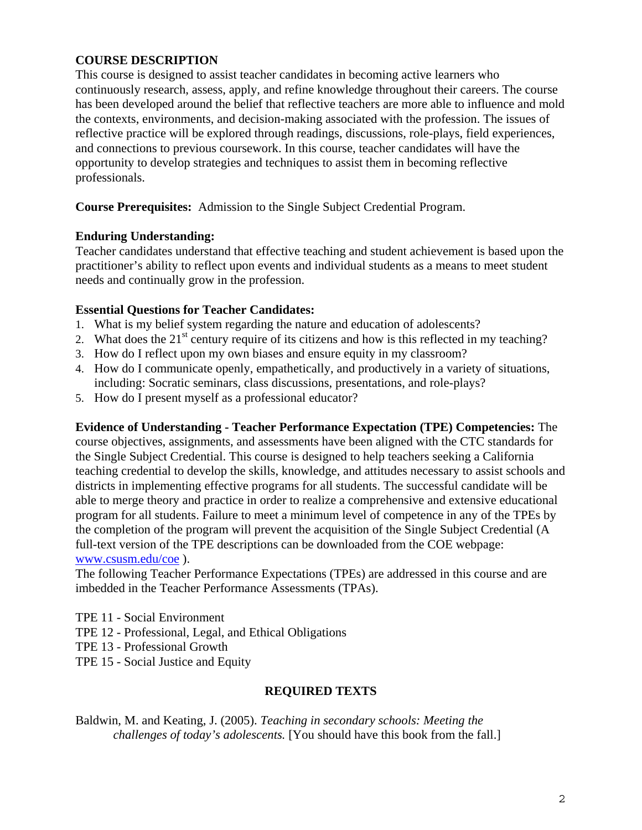### **COURSE DESCRIPTION**

This course is designed to assist teacher candidates in becoming active learners who continuously research, assess, apply, and refine knowledge throughout their careers. The course has been developed around the belief that reflective teachers are more able to influence and mold the contexts, environments, and decision-making associated with the profession. The issues of reflective practice will be explored through readings, discussions, role-plays, field experiences, and connections to previous coursework. In this course, teacher candidates will have the opportunity to develop strategies and techniques to assist them in becoming reflective professionals.

**Course Prerequisites:** Admission to the Single Subject Credential Program.

#### **Enduring Understanding:**

Teacher candidates understand that effective teaching and student achievement is based upon the practitioner's ability to reflect upon events and individual students as a means to meet student needs and continually grow in the profession.

#### **Essential Questions for Teacher Candidates:**

- 1. What is my belief system regarding the nature and education of adolescents?
- 2. What does the  $21^{st}$  century require of its citizens and how is this reflected in my teaching?
- 3. How do I reflect upon my own biases and ensure equity in my classroom?
- including: Socratic seminars, class discussions, presentations, and role-plays?<br>5. How do I present myself as a professional educator? 4. How do I communicate openly, empathetically, and productively in a variety of situations,
- 5. How do I present myself as a professional educator?

**Evidence of Understanding - Teacher Performance Expectation (TPE) Competencies:** The course objectives, assignments, and assessments have been aligned with the CTC standards for the Single Subject Credential. This course is designed to help teachers seeking a California teaching credential to develop the skills, knowledge, and attitudes necessary to assist schools and districts in implementing effective programs for all students. The successful candidate will be able to merge theory and practice in order to realize a comprehensive and extensive educational program for all students. Failure to meet a minimum level of competence in any of the TPEs by the completion of the program will prevent the acquisition of the Single Subject Credential (A full-text version of the TPE descriptions can be downloaded from the COE webpage: www.csusm.edu/coe ).

The following Teacher Performance Expectations (TPEs) are addressed in this course and are imbedded in the Teacher Performance Assessments (TPAs).

- TPE 11 Social Environment
- TPE 12 Professional, Legal, and Ethical Obligations
- TPE 13 Professional Growth
- TPE 15 Social Justice and Equity

#### **REQUIRED TEXTS**

Baldwin, M. and Keating, J. (2005). *Teaching in secondary schools: Meeting the challenges of today's adolescents.* [You should have this book from the fall.]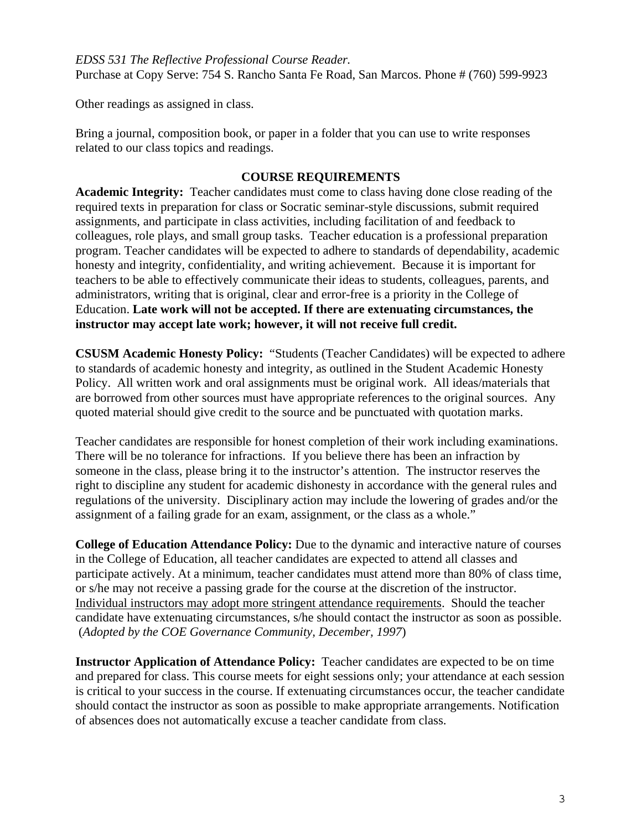*EDSS 531 The Reflective Professional Course Reader.* Purchase at Copy Serve: 754 S. Rancho Santa Fe Road, San Marcos. Phone # (760) 599-9923

Other readings as assigned in class.

Bring a journal, composition book, or paper in a folder that you can use to write responses related to our class topics and readings.

#### **COURSE REQUIREMENTS**

**Academic Integrity:** Teacher candidates must come to class having done close reading of the required texts in preparation for class or Socratic seminar-style discussions, submit required assignments, and participate in class activities, including facilitation of and feedback to colleagues, role plays, and small group tasks. Teacher education is a professional preparation program. Teacher candidates will be expected to adhere to standards of dependability, academic honesty and integrity, confidentiality, and writing achievement. Because it is important for teachers to be able to effectively communicate their ideas to students, colleagues, parents, and administrators, writing that is original, clear and error-free is a priority in the College of Education. **Late work will not be accepted. If there are extenuating circumstances, the instructor may accept late work; however, it will not receive full credit.** 

**CSUSM Academic Honesty Policy:** "Students (Teacher Candidates) will be expected to adhere to standards of academic honesty and integrity, as outlined in the Student Academic Honesty Policy. All written work and oral assignments must be original work. All ideas/materials that are borrowed from other sources must have appropriate references to the original sources. Any quoted material should give credit to the source and be punctuated with quotation marks.

Teacher candidates are responsible for honest completion of their work including examinations. There will be no tolerance for infractions. If you believe there has been an infraction by someone in the class, please bring it to the instructor's attention. The instructor reserves the right to discipline any student for academic dishonesty in accordance with the general rules and regulations of the university. Disciplinary action may include the lowering of grades and/or the assignment of a failing grade for an exam, assignment, or the class as a whole."

**College of Education Attendance Policy:** Due to the dynamic and interactive nature of courses in the College of Education, all teacher candidates are expected to attend all classes and participate actively. At a minimum, teacher candidates must attend more than 80% of class time, or s/he may not receive a passing grade for the course at the discretion of the instructor. Individual instructors may adopt more stringent attendance requirements. Should the teacher candidate have extenuating circumstances, s/he should contact the instructor as soon as possible. (*Adopted by the COE Governance Community, December, 1997*)

**Instructor Application of Attendance Policy:** Teacher candidates are expected to be on time and prepared for class. This course meets for eight sessions only; your attendance at each session is critical to your success in the course. If extenuating circumstances occur, the teacher candidate should contact the instructor as soon as possible to make appropriate arrangements. Notification of absences does not automatically excuse a teacher candidate from class.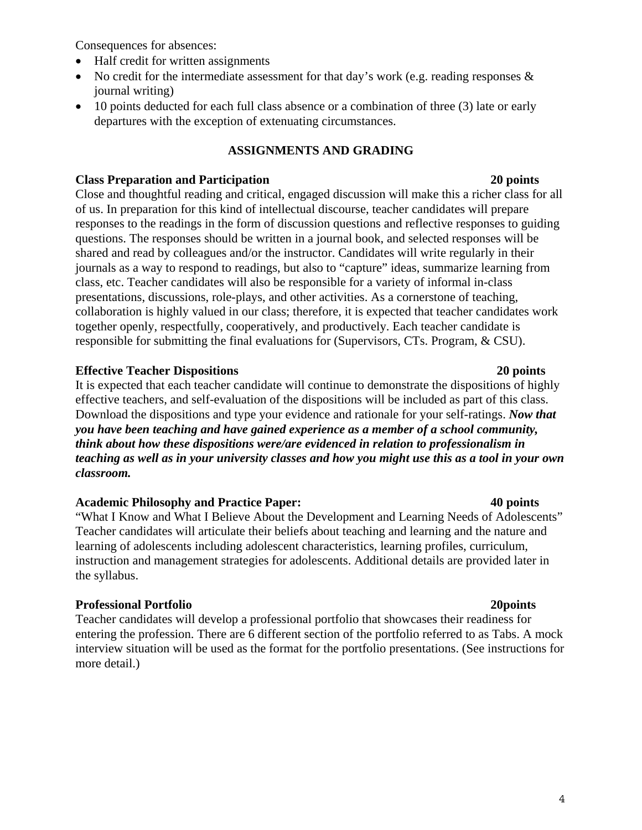Consequences for absences:

- Half credit for written assignments
- No credit for the intermediate assessment for that day's work (e.g. reading responses  $\&$ journal writing)
- 10 points deducted for each full class absence or a combination of three (3) late or early departures with the exception of extenuating circumstances.

# **ASSIGNMENTS AND GRADING**

#### **Class Preparation and Participation 20 points**

Close and thoughtful reading and critical, engaged discussion will make this a richer class for all of us. In preparation for this kind of intellectual discourse, teacher candidates will prepare responses to the readings in the form of discussion questions and reflective responses to guiding questions. The responses should be written in a journal book, and selected responses will be shared and read by colleagues and/or the instructor. Candidates will write regularly in their journals as a way to respond to readings, but also to "capture" ideas, summarize learning from class, etc. Teacher candidates will also be responsible for a variety of informal in-class presentations, discussions, role-plays, and other activities. As a cornerstone of teaching, collaboration is highly valued in our class; therefore, it is expected that teacher candidates work together openly, respectfully, cooperatively, and productively. Each teacher candidate is responsible for submitting the final evaluations for (Supervisors, CTs. Program, & CSU).

### **Effective Teacher Dispositions 20 points**

It is expected that each teacher candidate will continue to demonstrate the dispositions of highly effective teachers, and self-evaluation of the dispositions will be included as part of this class. Download the dispositions and type your evidence and rationale for your self-ratings. *Now that you have been teaching and have gained experience as a member of a school community, think about how these dispositions were/are evidenced in relation to professionalism in teaching as well as in your university classes and how you might use this as a tool in your own classroom.* 

#### **Academic Philosophy and Practice Paper: 40 points**

"What I Know and What I Believe About the Development and Learning Needs of Adolescents" Teacher candidates will articulate their beliefs about teaching and learning and the nature and learning of adolescents including adolescent characteristics, learning profiles, curriculum, instruction and management strategies for adolescents. Additional details are provided later in the syllabus.

# **Professional Portfolio 20points**

Teacher candidates will develop a professional portfolio that showcases their readiness for entering the profession. There are 6 different section of the portfolio referred to as Tabs. A mock interview situation will be used as the format for the portfolio presentations. (See instructions for more detail.)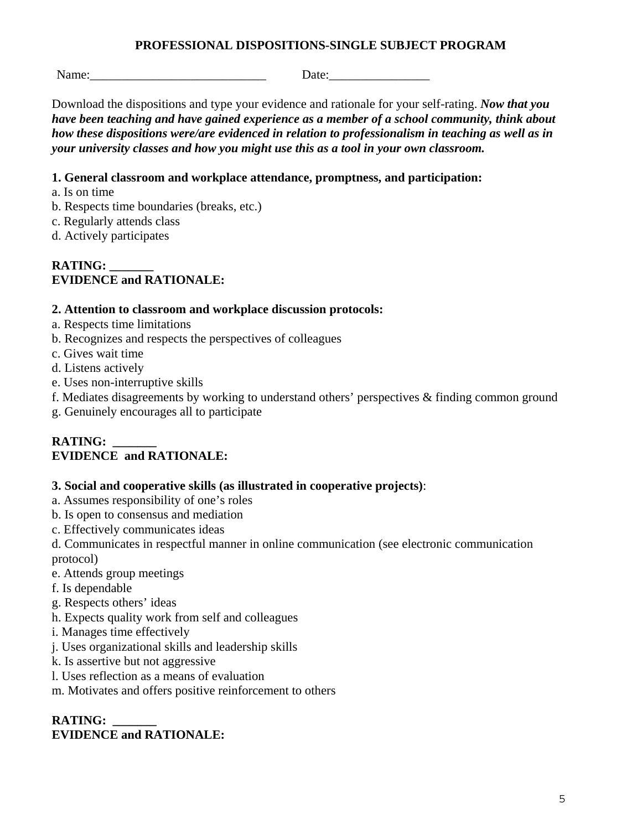#### **PROFESSIONAL DISPOSITIONS-SINGLE SUBJECT PROGRAM**

Name: Letter and the set of  $\Box$  Date:

Download the dispositions and type your evidence and rationale for your self-rating. *Now that you have been teaching and have gained experience as a member of a school community, think about how these dispositions were/are evidenced in relation to professionalism in teaching as well as in your university classes and how you might use this as a tool in your own classroom.* 

### **1. General classroom and workplace attendance, promptness, and participation:**

- a. Is on time
- b. Respects time boundaries (breaks, etc.)
- c. Regularly attends class
- d. Actively participates

#### **RATING: \_\_\_\_\_\_\_ EVIDENCE and RATIONALE:**

### **2. Attention to classroom and workplace discussion protocols:**

- a. Respects time limitations
- b. Recognizes and respects the perspectives of colleagues
- c. Gives wait time
- d. Listens actively
- e. Uses non-interruptive skills
- f. Mediates disagreements by working to understand others' perspectives & finding common ground
- g. Genuinely encourages all to participate

# **RATING: \_\_\_\_\_\_\_ EVIDENCE and RATIONALE:**

#### **3. Social and cooperative skills (as illustrated in cooperative projects)**:

- a. Assumes responsibility of one's roles
- b. Is open to consensus and mediation
- c. Effectively communicates ideas

d. Communicates in respectful manner in online communication (see electronic communication protocol)

- e. Attends group meetings
- f. Is dependable
- g. Respects others' ideas
- h. Expects quality work from self and colleagues
- i. Manages time effectively
- j. Uses organizational skills and leadership skills
- k. Is assertive but not aggressive
- l. Uses reflection as a means of evaluation

m. Motivates and offers positive reinforcement to others

# **RATING: \_\_\_\_\_\_\_ EVIDENCE and RATIONALE:**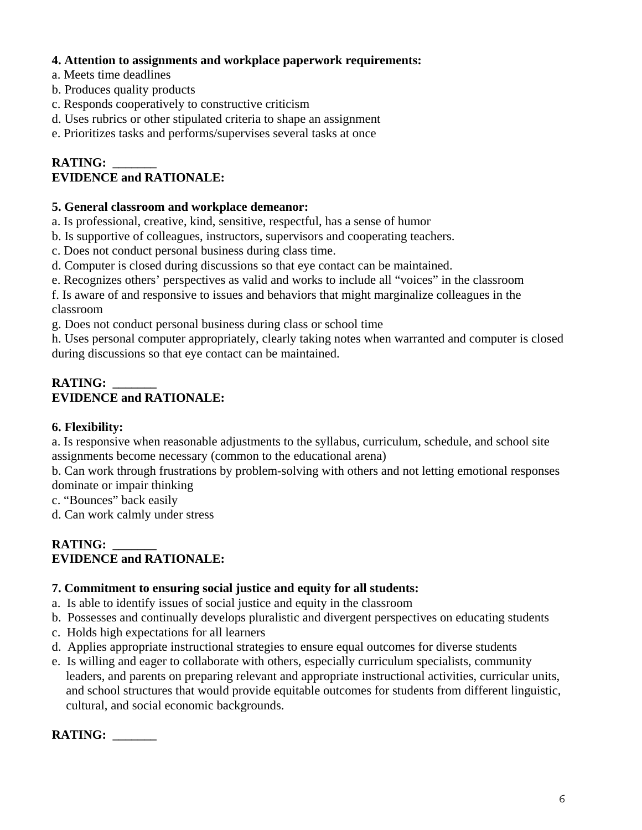#### **4. Attention to assignments and workplace paperwork requirements:**

- a. Meets time deadlines
- b. Produces quality products
- c. Responds cooperatively to constructive criticism
- d. Uses rubrics or other stipulated criteria to shape an assignment
- e. Prioritizes tasks and performs/supervises several tasks at once

# **RATING: \_\_\_\_\_\_\_ EVIDENCE and RATIONALE:**

#### **5. General classroom and workplace demeanor:**

- a. Is professional, creative, kind, sensitive, respectful, has a sense of humor
- b. Is supportive of colleagues, instructors, supervisors and cooperating teachers.
- c. Does not conduct personal business during class time.
- d. Computer is closed during discussions so that eye contact can be maintained.
- 

 e. Recognizes others' perspectives as valid and works to include all "voices" in the classroom f. Is aware of and responsive to issues and behaviors that might marginalize colleagues in the classroom

g. Does not conduct personal business during class or school time

h. Uses personal computer appropriately, clearly taking notes when warranted and computer is closed during discussions so that eye contact can be maintained.

# **RATING: \_\_\_\_\_\_\_ EVIDENCE and RATIONALE:**

# **6. Flexibility:**

a. Is responsive when reasonable adjustments to the syllabus, curriculum, schedule, and school site assignments become necessary (common to the educational arena)

b. Can work through frustrations by problem-solving with others and not letting emotional responses dominate or impair thinking

c. "Bounces" back easily

d. Can work calmly under stress

### **RATING: \_\_\_\_\_\_\_ EVIDENCE and RATIONALE:**

#### **7. Commitment to ensuring social justice and equity for all students:**

- a. Is able to identify issues of social justice and equity in the classroom
- b. Possesses and continually develops pluralistic and divergent perspectives on educating students
- c. Holds high expectations for all learners
- d. Applies appropriate instructional strategies to ensure equal outcomes for diverse students
- e. Is willing and eager to collaborate with others, especially curriculum specialists, community leaders, and parents on preparing relevant and appropriate instructional activities, curricular units, and school structures that would provide equitable outcomes for students from different linguistic, cultural, and social economic backgrounds.

| <b>RATING:</b> |  |
|----------------|--|
|----------------|--|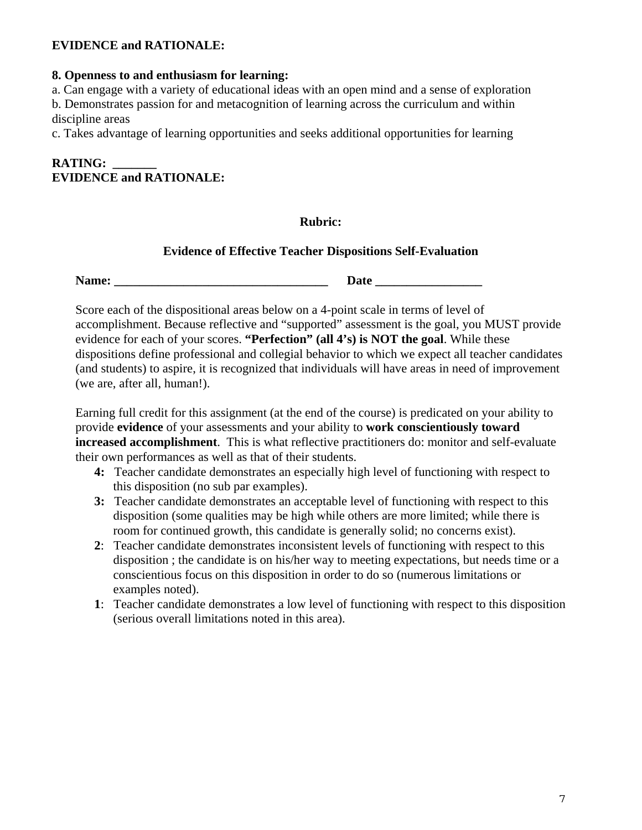#### **EVIDENCE and RATIONALE:**

# **8. Openness to and enthusiasm for learning:**

a. Can engage with a variety of educational ideas with an open mind and a sense of exploration b. Demonstrates passion for and metacognition of learning across the curriculum and within discipline areas

c. Takes advantage of learning opportunities and seeks additional opportunities for learning

# **RATING: \_\_\_\_\_\_\_ EVIDENCE and RATIONALE:**

#### **Rubric:**

#### **Evidence of Effective Teacher Dispositions Self-Evaluation**

 **Name: \_\_\_\_\_\_\_\_\_\_\_\_\_\_\_\_\_\_\_\_\_\_\_\_\_\_\_\_\_\_\_\_\_\_ Date \_\_\_\_\_\_\_\_\_\_\_\_\_\_\_\_\_** 

Score each of the dispositional areas below on a 4-point scale in terms of level of accomplishment. Because reflective and "supported" assessment is the goal, you MUST provide evidence for each of your scores. **"Perfection" (all 4's) is NOT the goal**. While these dispositions define professional and collegial behavior to which we expect all teacher candidates (and students) to aspire, it is recognized that individuals will have areas in need of improvement (we are, after all, human!).

Earning full credit for this assignment (at the end of the course) is predicated on your ability to provide **evidence** of your assessments and your ability to **work conscientiously toward increased accomplishment**. This is what reflective practitioners do: monitor and self-evaluate their own performances as well as that of their students.

- **4:** Teacher candidate demonstrates an especially high level of functioning with respect to this disposition (no sub par examples).
- **3:** Teacher candidate demonstrates an acceptable level of functioning with respect to this disposition (some qualities may be high while others are more limited; while there is room for continued growth, this candidate is generally solid; no concerns exist).
- **2**: Teacher candidate demonstrates inconsistent levels of functioning with respect to this disposition ; the candidate is on his/her way to meeting expectations, but needs time or a conscientious focus on this disposition in order to do so (numerous limitations or examples noted).
- **1**: Teacher candidate demonstrates a low level of functioning with respect to this disposition (serious overall limitations noted in this area).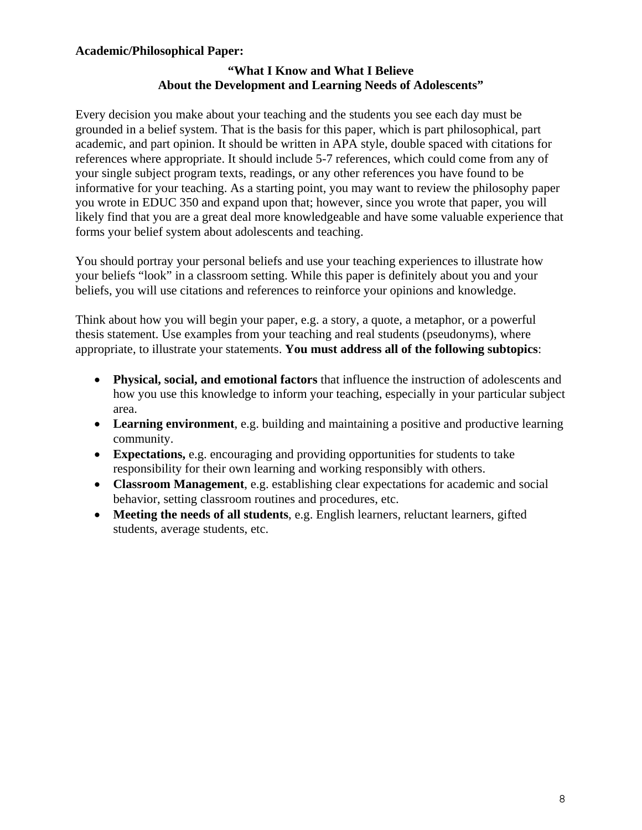#### **Academic/Philosophical Paper:**

### **"What I Know and What I Believe About the Development and Learning Needs of Adolescents"**

Every decision you make about your teaching and the students you see each day must be grounded in a belief system. That is the basis for this paper, which is part philosophical, part academic, and part opinion. It should be written in APA style, double spaced with citations for references where appropriate. It should include 5-7 references, which could come from any of your single subject program texts, readings, or any other references you have found to be informative for your teaching. As a starting point, you may want to review the philosophy paper you wrote in EDUC 350 and expand upon that; however, since you wrote that paper, you will likely find that you are a great deal more knowledgeable and have some valuable experience that forms your belief system about adolescents and teaching.

You should portray your personal beliefs and use your teaching experiences to illustrate how your beliefs "look" in a classroom setting. While this paper is definitely about you and your beliefs, you will use citations and references to reinforce your opinions and knowledge.

Think about how you will begin your paper, e.g. a story, a quote, a metaphor, or a powerful thesis statement. Use examples from your teaching and real students (pseudonyms), where appropriate, to illustrate your statements. **You must address all of the following subtopics**:

- • **Physical, social, and emotional factors** that influence the instruction of adolescents and how you use this knowledge to inform your teaching, especially in your particular subject area.
- **Learning environment**, e.g. building and maintaining a positive and productive learning community.
- • **Expectations,** e.g. encouraging and providing opportunities for students to take responsibility for their own learning and working responsibly with others.
- **Classroom Management**, e.g. establishing clear expectations for academic and social behavior, setting classroom routines and procedures, etc.
- • **Meeting the needs of all students**, e.g. English learners, reluctant learners, gifted students, average students, etc.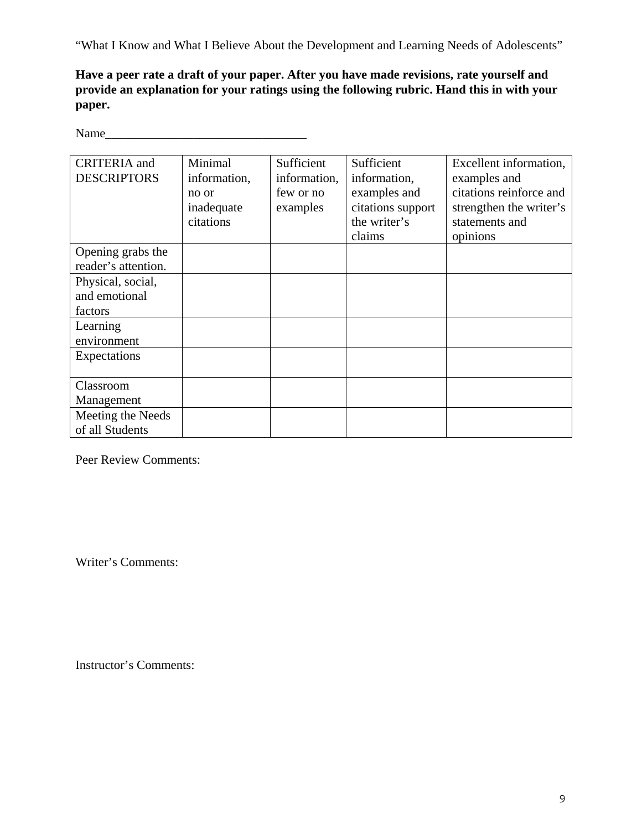"What I Know and What I Believe About the Development and Learning Needs of Adolescents"

**Have a peer rate a draft of your paper. After you have made revisions, rate yourself and provide an explanation for your ratings using the following rubric. Hand this in with your paper.** 

Name\_\_\_\_\_\_\_\_\_\_\_\_\_\_\_\_\_\_\_\_\_\_\_\_\_\_\_\_\_\_\_\_

| <b>CRITERIA</b> and<br><b>DESCRIPTORS</b>     | Minimal<br>information,<br>no or<br>inadequate | Sufficient<br>information,<br>few or no<br>examples | Sufficient<br>information,<br>examples and<br>citations support | Excellent information,<br>examples and<br>citations reinforce and<br>strengthen the writer's |
|-----------------------------------------------|------------------------------------------------|-----------------------------------------------------|-----------------------------------------------------------------|----------------------------------------------------------------------------------------------|
|                                               | citations                                      |                                                     | the writer's<br>claims                                          | statements and<br>opinions                                                                   |
| Opening grabs the<br>reader's attention.      |                                                |                                                     |                                                                 |                                                                                              |
| Physical, social,<br>and emotional<br>factors |                                                |                                                     |                                                                 |                                                                                              |
| Learning<br>environment                       |                                                |                                                     |                                                                 |                                                                                              |
| Expectations                                  |                                                |                                                     |                                                                 |                                                                                              |
| Classroom<br>Management                       |                                                |                                                     |                                                                 |                                                                                              |
| Meeting the Needs<br>of all Students          |                                                |                                                     |                                                                 |                                                                                              |

Peer Review Comments:

Writer's Comments:

Instructor's Comments: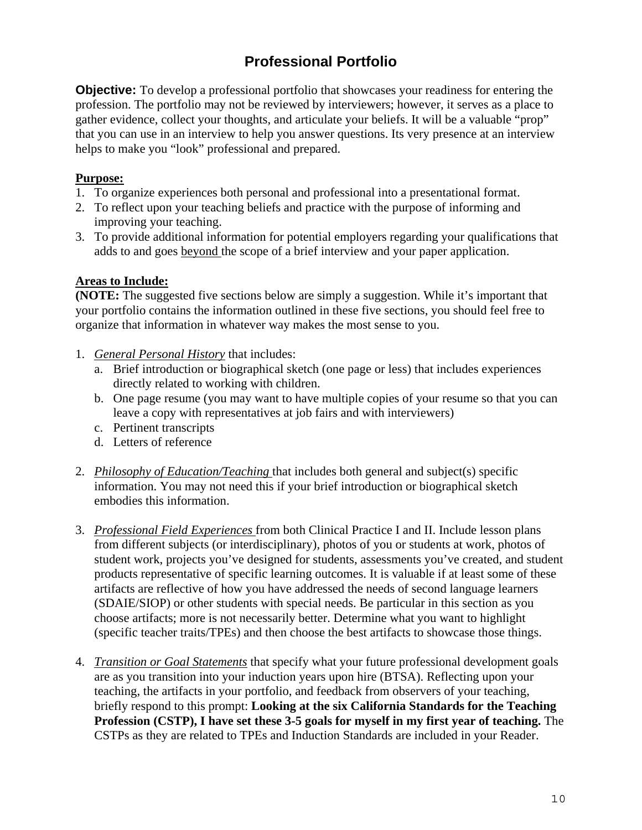# **Professional Portfolio**

**Objective:** To develop a professional portfolio that showcases your readiness for entering the profession. The portfolio may not be reviewed by interviewers; however, it serves as a place to gather evidence, collect your thoughts, and articulate your beliefs. It will be a valuable "prop" that you can use in an interview to help you answer questions. Its very presence at an interview helps to make you "look" professional and prepared.

### **Purpose:**

- 1. To organize experiences both personal and professional into a presentational format.
- 2. To reflect upon your teaching beliefs and practice with the purpose of informing and improving your teaching.
- 3. To provide additional information for potential employers regarding your qualifications that adds to and goes beyond the scope of a brief interview and your paper application.

### **Areas to Include:**

**(NOTE:** The suggested five sections below are simply a suggestion. While it's important that your portfolio contains the information outlined in these five sections, you should feel free to organize that information in whatever way makes the most sense to you.

- 1. *General Personal History* that includes:
	- a. Brief introduction or biographical sketch (one page or less) that includes experiences directly related to working with children.
	- b. One page resume (you may want to have multiple copies of your resume so that you can leave a copy with representatives at job fairs and with interviewers)
	- c. Pertinent transcripts
	- d. Letters of reference
- 2. *Philosophy of Education/Teaching* that includes both general and subject(s) specific information. You may not need this if your brief introduction or biographical sketch embodies this information.
- 3. *Professional Field Experiences* from both Clinical Practice I and II. Include lesson plans from different subjects (or interdisciplinary), photos of you or students at work, photos of student work, projects you've designed for students, assessments you've created, and student products representative of specific learning outcomes. It is valuable if at least some of these artifacts are reflective of how you have addressed the needs of second language learners (SDAIE/SIOP) or other students with special needs. Be particular in this section as you choose artifacts; more is not necessarily better. Determine what you want to highlight (specific teacher traits/TPEs) and then choose the best artifacts to showcase those things.
- 4. *Transition or Goal Statements* that specify what your future professional development goals are as you transition into your induction years upon hire (BTSA). Reflecting upon your teaching, the artifacts in your portfolio, and feedback from observers of your teaching, briefly respond to this prompt: **Looking at the six California Standards for the Teaching Profession (CSTP), I have set these 3-5 goals for myself in my first year of teaching.** The CSTPs as they are related to TPEs and Induction Standards are included in your Reader.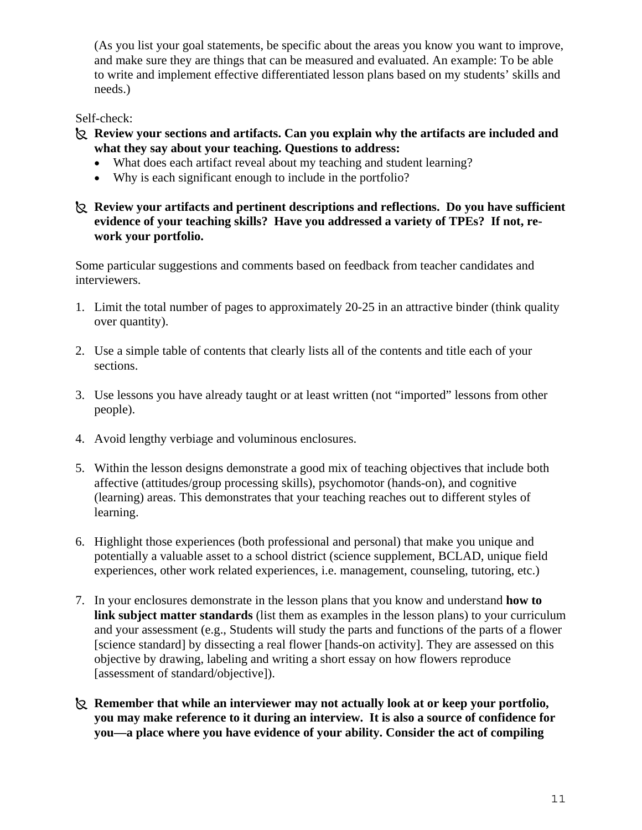(As you list your goal statements, be specific about the areas you know you want to improve, and make sure they are things that can be measured and evaluated. An example: To be able to write and implement effective differentiated lesson plans based on my students' skills and needs.)

#### Self-check:

- · **Review your sections and artifacts. Can you explain why the artifacts are included and what they say about your teaching. Questions to address:** 
	- What does each artifact reveal about my teaching and student learning?
	- Why is each significant enough to include in the portfolio?
- · **Review your artifacts and pertinent descriptions and reflections. Do you have sufficient evidence of your teaching skills? Have you addressed a variety of TPEs? If not, rework your portfolio.**

Some particular suggestions and comments based on feedback from teacher candidates and interviewers.

- 1. Limit the total number of pages to approximately 20-25 in an attractive binder (think quality over quantity).
- 2. Use a simple table of contents that clearly lists all of the contents and title each of your sections.
- 3. Use lessons you have already taught or at least written (not "imported" lessons from other people).
- 4. Avoid lengthy verbiage and voluminous enclosures.
- 5. Within the lesson designs demonstrate a good mix of teaching objectives that include both affective (attitudes/group processing skills), psychomotor (hands-on), and cognitive (learning) areas. This demonstrates that your teaching reaches out to different styles of learning.
- 6. Highlight those experiences (both professional and personal) that make you unique and potentially a valuable asset to a school district (science supplement, BCLAD, unique field experiences, other work related experiences, i.e. management, counseling, tutoring, etc.)
- 7. In your enclosures demonstrate in the lesson plans that you know and understand **how to link subject matter standards** (list them as examples in the lesson plans) to your curriculum and your assessment (e.g., Students will study the parts and functions of the parts of a flower [science standard] by dissecting a real flower [hands-on activity]. They are assessed on this objective by drawing, labeling and writing a short essay on how flowers reproduce [assessment of standard/objective]).
- · **Remember that while an interviewer may not actually look at or keep your portfolio, you may make reference to it during an interview. It is also a source of confidence for you—a place where you have evidence of your ability. Consider the act of compiling**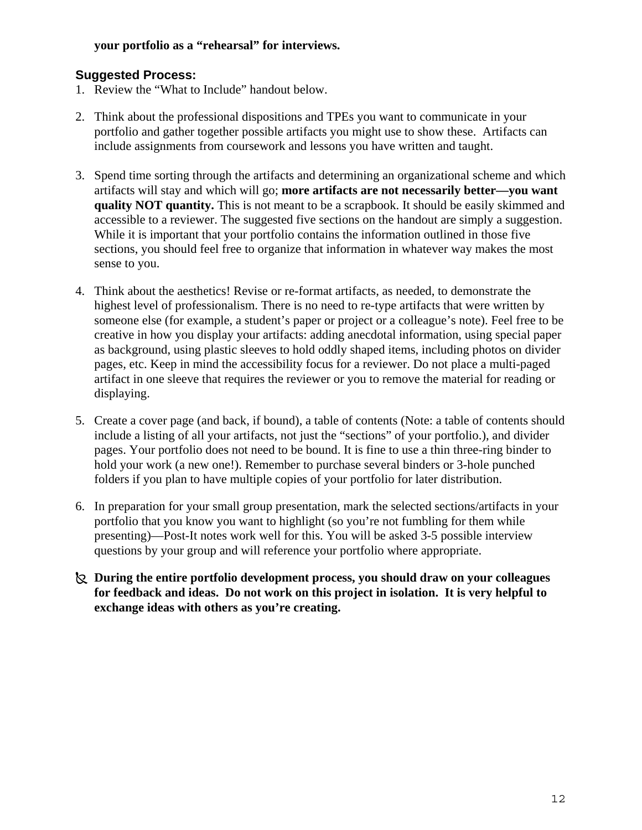#### **your portfolio as a "rehearsal" for interviews.**

### **Suggested Process:**

- 1. Review the "What to Include" handout below.
- 2. Think about the professional dispositions and TPEs you want to communicate in your portfolio and gather together possible artifacts you might use to show these. Artifacts can include assignments from coursework and lessons you have written and taught.
- 3. Spend time sorting through the artifacts and determining an organizational scheme and which artifacts will stay and which will go; **more artifacts are not necessarily better—you want quality NOT quantity.** This is not meant to be a scrapbook. It should be easily skimmed and accessible to a reviewer. The suggested five sections on the handout are simply a suggestion. While it is important that your portfolio contains the information outlined in those five sections, you should feel free to organize that information in whatever way makes the most sense to you.
- 4. Think about the aesthetics! Revise or re-format artifacts, as needed, to demonstrate the highest level of professionalism. There is no need to re-type artifacts that were written by someone else (for example, a student's paper or project or a colleague's note). Feel free to be creative in how you display your artifacts: adding anecdotal information, using special paper as background, using plastic sleeves to hold oddly shaped items, including photos on divider pages, etc. Keep in mind the accessibility focus for a reviewer. Do not place a multi-paged artifact in one sleeve that requires the reviewer or you to remove the material for reading or displaying.
- 5. Create a cover page (and back, if bound), a table of contents (Note: a table of contents should include a listing of all your artifacts, not just the "sections" of your portfolio.), and divider pages. Your portfolio does not need to be bound. It is fine to use a thin three-ring binder to hold your work (a new one!). Remember to purchase several binders or 3-hole punched folders if you plan to have multiple copies of your portfolio for later distribution.
- 6. In preparation for your small group presentation, mark the selected sections/artifacts in your portfolio that you know you want to highlight (so you're not fumbling for them while presenting)—Post-It notes work well for this. You will be asked 3-5 possible interview questions by your group and will reference your portfolio where appropriate.
- · **During the entire portfolio development process, you should draw on your colleagues for feedback and ideas. Do not work on this project in isolation. It is very helpful to exchange ideas with others as you're creating.**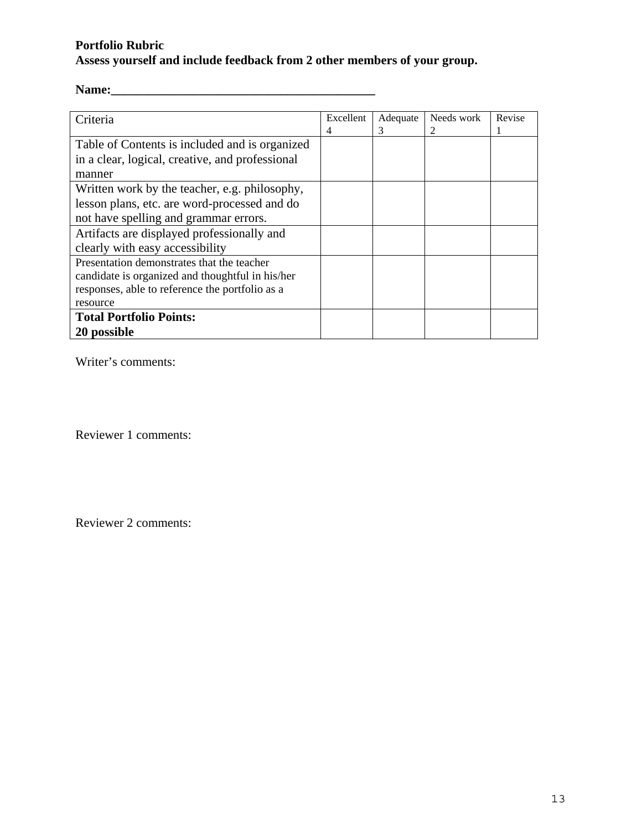# **Portfolio Rubric Assess yourself and include feedback from 2 other members of your group.**

# **Name:\_\_\_\_\_\_\_\_\_\_\_\_\_\_\_\_\_\_\_\_\_\_\_\_\_\_\_\_\_\_\_\_\_\_\_\_\_\_\_\_\_\_**

| Criteria                                         | Excellent | Adequate | Needs work | Revise |
|--------------------------------------------------|-----------|----------|------------|--------|
|                                                  | 4         | 3        | 2          | 1      |
| Table of Contents is included and is organized   |           |          |            |        |
| in a clear, logical, creative, and professional  |           |          |            |        |
| manner                                           |           |          |            |        |
| Written work by the teacher, e.g. philosophy,    |           |          |            |        |
| lesson plans, etc. are word-processed and do     |           |          |            |        |
| not have spelling and grammar errors.            |           |          |            |        |
| Artifacts are displayed professionally and       |           |          |            |        |
| clearly with easy accessibility                  |           |          |            |        |
| Presentation demonstrates that the teacher       |           |          |            |        |
| candidate is organized and thoughtful in his/her |           |          |            |        |
| responses, able to reference the portfolio as a  |           |          |            |        |
| resource                                         |           |          |            |        |
| <b>Total Portfolio Points:</b>                   |           |          |            |        |
| 20 possible                                      |           |          |            |        |

Writer's comments:

Reviewer 1 comments:

Reviewer 2 comments: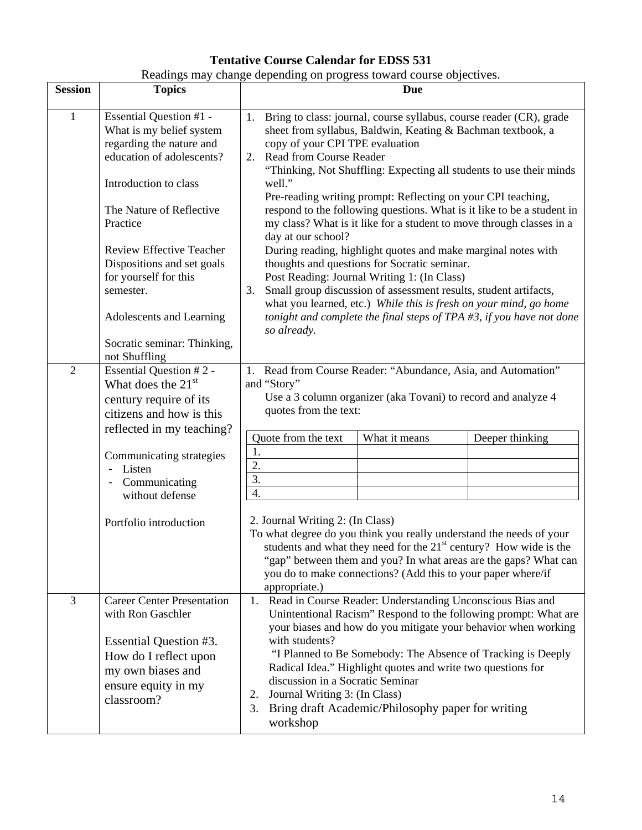# **Tentative Course Calendar for EDSS 531**  Readings may change depending on progress toward course objectives.

| <b>Session</b> | <b>Topics</b>                                                                                                                                                                                                                                                                                                                                                    | <b>Due</b>                                                                                                                                                                                                                                                                                                                                                                                                                                                                                                                                                                                                                                                                                                                                                                                                                                                                                                                                                            |  |  |  |
|----------------|------------------------------------------------------------------------------------------------------------------------------------------------------------------------------------------------------------------------------------------------------------------------------------------------------------------------------------------------------------------|-----------------------------------------------------------------------------------------------------------------------------------------------------------------------------------------------------------------------------------------------------------------------------------------------------------------------------------------------------------------------------------------------------------------------------------------------------------------------------------------------------------------------------------------------------------------------------------------------------------------------------------------------------------------------------------------------------------------------------------------------------------------------------------------------------------------------------------------------------------------------------------------------------------------------------------------------------------------------|--|--|--|
| 1              | Essential Question #1 -<br>What is my belief system<br>regarding the nature and<br>education of adolescents?<br>Introduction to class<br>The Nature of Reflective<br>Practice<br><b>Review Effective Teacher</b><br>Dispositions and set goals<br>for yourself for this<br>semester.<br>Adolescents and Learning<br>Socratic seminar: Thinking,<br>not Shuffling | Bring to class: journal, course syllabus, course reader (CR), grade<br>1.<br>sheet from syllabus, Baldwin, Keating & Bachman textbook, a<br>copy of your CPI TPE evaluation<br><b>Read from Course Reader</b><br>2.<br>"Thinking, Not Shuffling: Expecting all students to use their minds<br>well."<br>Pre-reading writing prompt: Reflecting on your CPI teaching,<br>respond to the following questions. What is it like to be a student in<br>my class? What is it like for a student to move through classes in a<br>day at our school?<br>During reading, highlight quotes and make marginal notes with<br>thoughts and questions for Socratic seminar.<br>Post Reading: Journal Writing 1: (In Class)<br>Small group discussion of assessment results, student artifacts,<br>3.<br>what you learned, etc.) While this is fresh on your mind, go home<br>tonight and complete the final steps of $TPA \nleftrightarrow 3$ , if you have not done<br>so already. |  |  |  |
| $\overline{2}$ | Essential Question #2 -<br>What does the 21 <sup>st</sup><br>century require of its<br>citizens and how is this<br>reflected in my teaching?<br>Communicating strategies<br>Listen<br>Communicating<br>without defense<br>Portfolio introduction                                                                                                                 | 1. Read from Course Reader: "Abundance, Asia, and Automation"<br>and "Story"<br>Use a 3 column organizer (aka Tovani) to record and analyze 4<br>quotes from the text:<br>Quote from the text<br>What it means<br>Deeper thinking<br>1.<br>2.<br>3.<br>4.<br>2. Journal Writing 2: (In Class)<br>To what degree do you think you really understand the needs of your<br>students and what they need for the 21 <sup>st</sup> century? How wide is the<br>"gap" between them and you? In what areas are the gaps? What can<br>you do to make connections? (Add this to your paper where/if                                                                                                                                                                                                                                                                                                                                                                             |  |  |  |
| 3              | <b>Career Center Presentation</b><br>with Ron Gaschler<br>Essential Question #3.<br>How do I reflect upon<br>my own biases and<br>ensure equity in my<br>classroom?                                                                                                                                                                                              | appropriate.)<br>Read in Course Reader: Understanding Unconscious Bias and<br>1.<br>Unintentional Racism" Respond to the following prompt: What are<br>your biases and how do you mitigate your behavior when working<br>with students?<br>"I Planned to Be Somebody: The Absence of Tracking is Deeply<br>Radical Idea." Highlight quotes and write two questions for<br>discussion in a Socratic Seminar<br>Journal Writing 3: (In Class)<br>2.<br>Bring draft Academic/Philosophy paper for writing<br>3.<br>workshop                                                                                                                                                                                                                                                                                                                                                                                                                                              |  |  |  |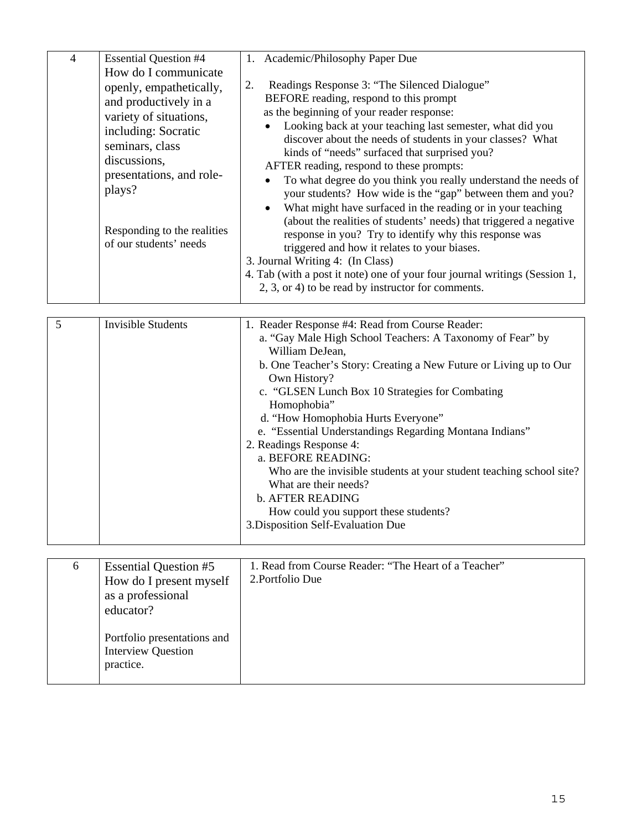| $\overline{4}$ | <b>Essential Question #4</b>                                                                                                                                                                                                                                | 1. Academic/Philosophy Paper Due                                                                                                                                                                                                                                                                                                                                                                                                                                                                                                                                                                                                                                                                                                                                                                                                                                                                                         |
|----------------|-------------------------------------------------------------------------------------------------------------------------------------------------------------------------------------------------------------------------------------------------------------|--------------------------------------------------------------------------------------------------------------------------------------------------------------------------------------------------------------------------------------------------------------------------------------------------------------------------------------------------------------------------------------------------------------------------------------------------------------------------------------------------------------------------------------------------------------------------------------------------------------------------------------------------------------------------------------------------------------------------------------------------------------------------------------------------------------------------------------------------------------------------------------------------------------------------|
|                | How do I communicate<br>openly, empathetically,<br>and productively in a<br>variety of situations,<br>including: Socratic<br>seminars, class<br>discussions,<br>presentations, and role-<br>plays?<br>Responding to the realities<br>of our students' needs | Readings Response 3: "The Silenced Dialogue"<br>2.<br>BEFORE reading, respond to this prompt<br>as the beginning of your reader response:<br>Looking back at your teaching last semester, what did you<br>discover about the needs of students in your classes? What<br>kinds of "needs" surfaced that surprised you?<br>AFTER reading, respond to these prompts:<br>To what degree do you think you really understand the needs of<br>your students? How wide is the "gap" between them and you?<br>What might have surfaced in the reading or in your teaching<br>(about the realities of students' needs) that triggered a negative<br>response in you? Try to identify why this response was<br>triggered and how it relates to your biases.<br>3. Journal Writing 4: (In Class)<br>4. Tab (with a post it note) one of your four journal writings (Session 1,<br>2, 3, or 4) to be read by instructor for comments. |

| 5 | <b>Invisible Students</b> | 1. Reader Response #4: Read from Course Reader:                      |  |
|---|---------------------------|----------------------------------------------------------------------|--|
|   |                           | a. "Gay Male High School Teachers: A Taxonomy of Fear" by            |  |
|   |                           | William DeJean,                                                      |  |
|   |                           | b. One Teacher's Story: Creating a New Future or Living up to Our    |  |
|   |                           | Own History?                                                         |  |
|   |                           | c. "GLSEN Lunch Box 10 Strategies for Combating                      |  |
|   |                           | Homophobia"                                                          |  |
|   |                           | d. "How Homophobia Hurts Everyone"                                   |  |
|   |                           | e. "Essential Understandings Regarding Montana Indians"              |  |
|   |                           | 2. Readings Response 4:                                              |  |
|   |                           | a. BEFORE READING:                                                   |  |
|   |                           | Who are the invisible students at your student teaching school site? |  |
|   |                           | What are their needs?                                                |  |
|   |                           | <b>b. AFTER READING</b>                                              |  |
|   |                           | How could you support these students?                                |  |
|   |                           | 3. Disposition Self-Evaluation Due                                   |  |
|   |                           |                                                                      |  |

| 6 | <b>Essential Question #5</b><br>How do I present myself<br>as a professional<br>educator? | 1. Read from Course Reader: "The Heart of a Teacher"<br>2. Portfolio Due |
|---|-------------------------------------------------------------------------------------------|--------------------------------------------------------------------------|
|   | Portfolio presentations and<br><b>Interview Question</b><br>practice.                     |                                                                          |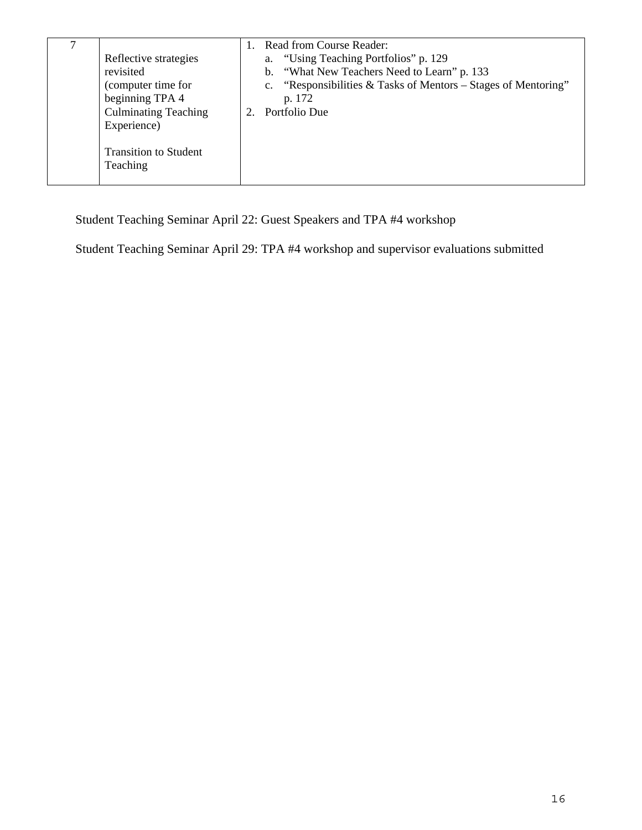|  | Reflective strategies<br>revisited<br>(computer time for<br>beginning TPA 4<br><b>Culminating Teaching</b><br>Experience)<br><b>Transition to Student</b><br>Teaching |  | Read from Course Reader:<br>a. "Using Teaching Portfolios" p. 129<br>b. "What New Teachers Need to Learn" p. 133<br>c. "Responsibilities & Tasks of Mentors – Stages of Mentoring"<br>p. 172<br>Portfolio Due |
|--|-----------------------------------------------------------------------------------------------------------------------------------------------------------------------|--|---------------------------------------------------------------------------------------------------------------------------------------------------------------------------------------------------------------|
|--|-----------------------------------------------------------------------------------------------------------------------------------------------------------------------|--|---------------------------------------------------------------------------------------------------------------------------------------------------------------------------------------------------------------|

Student Teaching Seminar April 22: Guest Speakers and TPA #4 workshop

Student Teaching Seminar April 29: TPA #4 workshop and supervisor evaluations submitted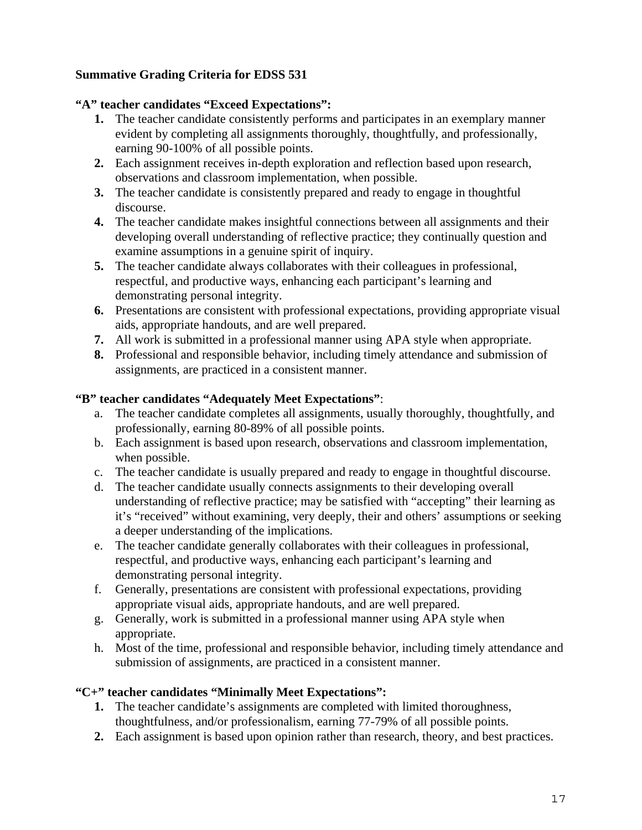### **Summative Grading Criteria for EDSS 531**

#### **"A" teacher candidates "Exceed Expectations":**

- **1.** The teacher candidate consistently performs and participates in an exemplary manner evident by completing all assignments thoroughly, thoughtfully, and professionally, earning 90-100% of all possible points.
- **2.** Each assignment receives in-depth exploration and reflection based upon research, observations and classroom implementation, when possible.
- **3.** The teacher candidate is consistently prepared and ready to engage in thoughtful discourse.
- **4.** The teacher candidate makes insightful connections between all assignments and their developing overall understanding of reflective practice; they continually question and examine assumptions in a genuine spirit of inquiry.
- **5.** The teacher candidate always collaborates with their colleagues in professional, respectful, and productive ways, enhancing each participant's learning and demonstrating personal integrity.
- **6.** Presentations are consistent with professional expectations, providing appropriate visual aids, appropriate handouts, and are well prepared.
- **7.** All work is submitted in a professional manner using APA style when appropriate.
- **8.** Professional and responsible behavior, including timely attendance and submission of assignments, are practiced in a consistent manner.

#### **"B" teacher candidates "Adequately Meet Expectations"**:

- a. The teacher candidate completes all assignments, usually thoroughly, thoughtfully, and professionally, earning 80-89% of all possible points.
- b. Each assignment is based upon research, observations and classroom implementation, when possible.
- c. The teacher candidate is usually prepared and ready to engage in thoughtful discourse.
- d. The teacher candidate usually connects assignments to their developing overall understanding of reflective practice; may be satisfied with "accepting" their learning as it's "received" without examining, very deeply, their and others' assumptions or seeking a deeper understanding of the implications.
- e. The teacher candidate generally collaborates with their colleagues in professional, respectful, and productive ways, enhancing each participant's learning and demonstrating personal integrity.
- f. Generally, presentations are consistent with professional expectations, providing appropriate visual aids, appropriate handouts, and are well prepared.
- g. Generally, work is submitted in a professional manner using APA style when appropriate.
- h. Most of the time, professional and responsible behavior, including timely attendance and submission of assignments, are practiced in a consistent manner.

#### **"C+" teacher candidates "Minimally Meet Expectations":**

- **1.** The teacher candidate's assignments are completed with limited thoroughness, thoughtfulness, and/or professionalism, earning 77-79% of all possible points.
- **2.** Each assignment is based upon opinion rather than research, theory, and best practices.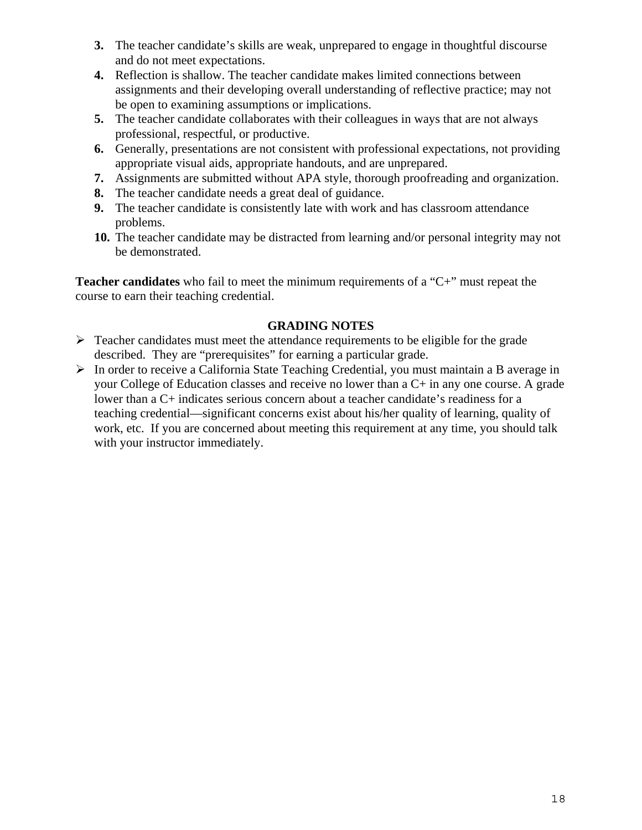- **3.** The teacher candidate's skills are weak, unprepared to engage in thoughtful discourse and do not meet expectations.
- **4.** Reflection is shallow. The teacher candidate makes limited connections between assignments and their developing overall understanding of reflective practice; may not be open to examining assumptions or implications.
- **5.** The teacher candidate collaborates with their colleagues in ways that are not always professional, respectful, or productive.
- **6.** Generally, presentations are not consistent with professional expectations, not providing appropriate visual aids, appropriate handouts, and are unprepared.
- **7.** Assignments are submitted without APA style, thorough proofreading and organization.
- **8.** The teacher candidate needs a great deal of guidance.
- **9.** The teacher candidate is consistently late with work and has classroom attendance problems.
- **10.** The teacher candidate may be distracted from learning and/or personal integrity may not be demonstrated.

**Teacher candidates** who fail to meet the minimum requirements of a "C+" must repeat the course to earn their teaching credential.

### **GRADING NOTES**

- $\triangleright$  Teacher candidates must meet the attendance requirements to be eligible for the grade described. They are "prerequisites" for earning a particular grade.
- $\triangleright$  In order to receive a California State Teaching Credential, you must maintain a B average in your College of Education classes and receive no lower than a C+ in any one course. A grade lower than a C+ indicates serious concern about a teacher candidate's readiness for a teaching credential—significant concerns exist about his/her quality of learning, quality of work, etc. If you are concerned about meeting this requirement at any time, you should talk with your instructor immediately.